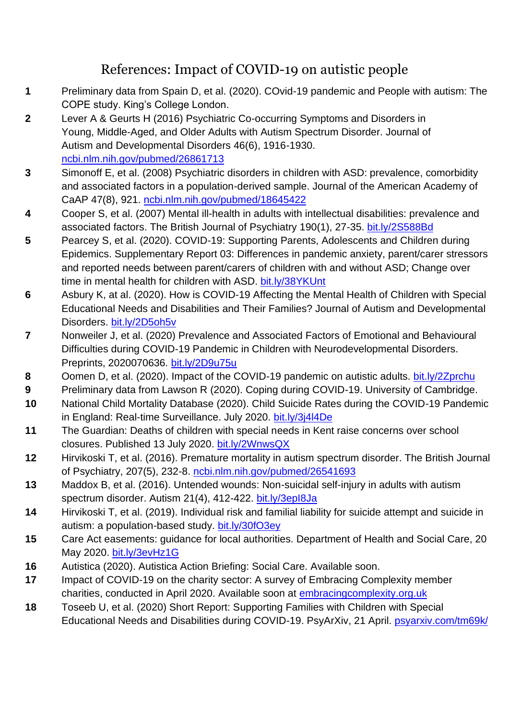## References: Impact of COVID-19 on autistic people

- **1** Preliminary data from Spain D, et al. (2020). COvid-19 pandemic and People with autism: The COPE study. King's College London.
- **2** Lever A & Geurts H (2016) Psychiatric Co-occurring Symptoms and Disorders in Young, Middle-Aged, and Older Adults with Autism Spectrum Disorder. Journal of Autism and Developmental Disorders 46(6), 1916-1930. [ncbi.nlm.nih.gov/pubmed/26861713](https://www.ncbi.nlm.nih.gov/pubmed/26861713)
- **3** Simonoff E, et al. (2008) Psychiatric disorders in children with ASD: prevalence, comorbidity and associated factors in a population-derived sample. Journal of the American Academy of CaAP 47(8), 921. [ncbi.nlm.nih.gov/pubmed/18645422](https://www.ncbi.nlm.nih.gov/pubmed/18645422)
- **4** Cooper S, et al. (2007) Mental ill-health in adults with intellectual disabilities: prevalence and associated factors. The British Journal of Psychiatry 190(1), 27-35. [bit.ly/2S588Bd](https://bit.ly/2S588Bd)
- **5** Pearcey S, et al. (2020). COVID-19: Supporting Parents, Adolescents and Children during Epidemics. Supplementary Report 03: Differences in pandemic anxiety, parent/carer stressors and reported needs between parent/carers of children with and without ASD; Change over time in mental health for children with ASD. [bit.ly/38YKUnt](https://bit.ly/38YKUnt)
- **6** Asbury K, at al. (2020). How is COVID-19 Affecting the Mental Health of Children with Special Educational Needs and Disabilities and Their Families? Journal of Autism and Developmental Disorders. [bit.ly/2D5oh5v](https://bit.ly/2D5oh5v)
- **7** Nonweiler J, et al. (2020) Prevalence and Associated Factors of Emotional and Behavioural Difficulties during COVID-19 Pandemic in Children with Neurodevelopmental Disorders. Preprints, 2020070636. [bit.ly/2D9u75u](https://bit.ly/2D9u75u)
- **8** Oomen D, et al. (2020). Impact of the COVID-19 pandemic on autistic adults. [bit.ly/2Zprchu](https://bit.ly/2Zprchu)
- **9** Preliminary data from Lawson R (2020). Coping during COVID-19. University of Cambridge.
- **10** National Child Mortality Database (2020). Child Suicide Rates during the COVID-19 Pandemic in England: Real-time Surveillance. July 2020. [bit.ly/3j4l4De](https://bit.ly/3j4l4De)
- **11** The Guardian: Deaths of children with special needs in Kent raise concerns over school closures. Published 13 July 2020. [bit.ly/2WnwsQX](https://bit.ly/2WnwsQX)
- **12** Hirvikoski T, et al. (2016). Premature mortality in autism spectrum disorder. The British Journal of Psychiatry, 207(5), 232-8. [ncbi.nlm.nih.gov/pubmed/26541693](https://www.ncbi.nlm.nih.gov/pubmed/26541693)
- **13** Maddox B, et al. (2016). Untended wounds: Non-suicidal self-injury in adults with autism spectrum disorder. Autism 21(4), 412-422. [bit.ly/3epI8Ja](https://bit.ly/3epI8Ja)
- **14** Hirvikoski T, et al. (2019). Individual risk and familial liability for suicide attempt and suicide in autism: a population-based study. [bit.ly/30fO3ey](https://bit.ly/30fO3ey)
- **15** Care Act easements: guidance for local authorities. Department of Health and Social Care, 20 May 2020. [bit.ly/3evHz1G](https://bit.ly/3evHz1G)
- **16** Autistica (2020). Autistica Action Briefing: Social Care. Available soon.
- **17** Impact of COVID-19 on the charity sector: A survey of Embracing Complexity member charities, conducted in April 2020. Available soon at [embracingcomplexity.org.uk](http://www.embracingcomplexity.org.uk/)
- **18** Toseeb U, et al. (2020) Short Report: Supporting Families with Children with Special Educational Needs and Disabilities during COVID-19. PsyArXiv, 21 April. [psyarxiv.com/tm69k/](https://psyarxiv.com/tm69k/)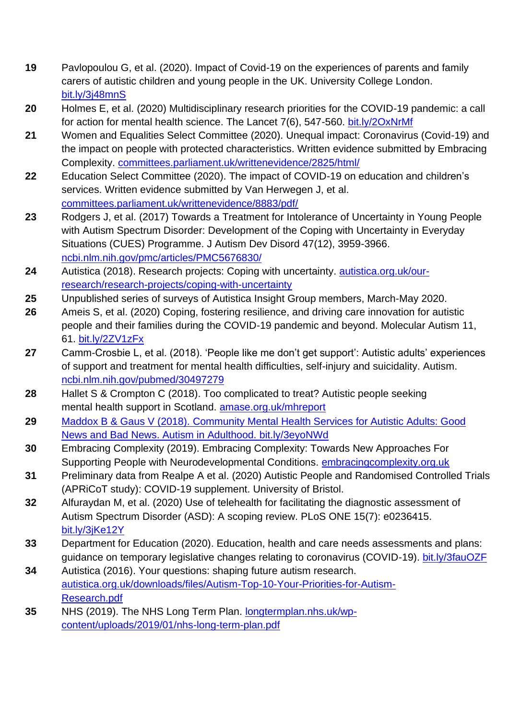- **19** Pavlopoulou G, et al. (2020). Impact of Covid-19 on the experiences of parents and family carers of autistic children and young people in the UK. University College London. [bit.ly/3j48mnS](https://bit.ly/3j48mnS)
- **20** Holmes E, et al. (2020) Multidisciplinary research priorities for the COVID-19 pandemic: a call for action for mental health science. The Lancet 7(6), 547-560. [bit.ly/2OxNrMf](https://bit.ly/2OxNrMf)
- **21** Women and Equalities Select Committee (2020). Unequal impact: Coronavirus (Covid-19) and the impact on people with protected characteristics. Written evidence submitted by Embracing Complexity. [committees.parliament.uk/writtenevidence/2825/html/](https://committees.parliament.uk/writtenevidence/2825/html/)
- **22** Education Select Committee (2020). The impact of COVID-19 on education and children's services. Written evidence submitted by Van Herwegen J, et al. [committees.parliament.uk/writtenevidence/8883/pdf/](https://committees.parliament.uk/writtenevidence/8883/pdf/)
- **23** Rodgers J, et al. (2017) Towards a Treatment for Intolerance of Uncertainty in Young People with Autism Spectrum Disorder: Development of the Coping with Uncertainty in Everyday Situations (CUES) Programme. J Autism Dev Disord 47(12), 3959-3966. [ncbi.nlm.nih.gov/pmc/articles/PMC5676830/](https://www.ncbi.nlm.nih.gov/pmc/articles/PMC5676830/)
- **24** Autistica (2018). Research projects: Coping with uncertainty. [autistica.org.uk/our](https://www.autistica.org.uk/our-research/research-projects/coping-with-uncertainty)[research/research-projects/coping-with-uncertainty](https://www.autistica.org.uk/our-research/research-projects/coping-with-uncertainty)
- **25** Unpublished series of surveys of Autistica Insight Group members, March-May 2020.
- **26** Ameis S, et al. (2020) Coping, fostering resilience, and driving care innovation for autistic people and their families during the COVID-19 pandemic and beyond. Molecular Autism 11, 61. [bit.ly/2ZV1zFx](https://bit.ly/2ZV1zFx)
- **27** Camm-Crosbie L, et al. (2018). 'People like me don't get support': Autistic adults' experiences of support and treatment for mental health difficulties, self-injury and suicidality. Autism. [ncbi.nlm.nih.gov/pubmed/30497279](https://www.ncbi.nlm.nih.gov/pubmed/30497279)
- **28** Hallet S & Crompton C (2018). Too complicated to treat? Autistic people seeking mental health support in Scotland. [amase.org.uk/mhreport](http://amase.org.uk/mhreport)
- **29** Maddox B & Gaus V (2018). Community Mental Health Services for Autistic Adults: Good News and Bad News. Autism in Adulthood. [bit.ly/3eyoNWd](https://bit.ly/3eyoNWd)
- **30** Embracing Complexity (2019). Embracing Complexity: Towards New Approaches For Supporting People with Neurodevelopmental Conditions. [embracingcomplexity.org.uk](http://www.embracingcomplexity.org.uk/)
- **31** Preliminary data from Realpe A et al. (2020) Autistic People and Randomised Controlled Trials (APRiCoT study): COVID-19 supplement. University of Bristol.
- **32** Alfuraydan M, et al. (2020) Use of telehealth for facilitating the diagnostic assessment of Autism Spectrum Disorder (ASD): A scoping review. PLoS ONE 15(7): e0236415. [bit.ly/3jKe12Y](https://bit.ly/3jKe12Y)
- **33** Department for Education (2020). Education, health and care needs assessments and plans: guidance on temporary legislative changes relating to coronavirus (COVID-19). [bit.ly/3fauOZF](https://bit.ly/3fauOZF)
- **34** Autistica (2016). Your questions: shaping future autism research. [autistica.org.uk/downloads/files/Autism-Top-10-Your-Priorities-for-Autism-](https://www.autistica.org.uk/downloads/files/Autism-Top-10-Your-Priorities-for-Autism-Research.pdf)[Research.pdf](https://www.autistica.org.uk/downloads/files/Autism-Top-10-Your-Priorities-for-Autism-Research.pdf)
- **35** NHS (2019). The NHS Long Term Plan. [longtermplan.nhs.uk/wp](https://www.longtermplan.nhs.uk/wp-content/uploads/2019/01/nhs-long-term-plan.pdf)[content/uploads/2019/01/nhs-long-term-plan.pdf](https://www.longtermplan.nhs.uk/wp-content/uploads/2019/01/nhs-long-term-plan.pdf)